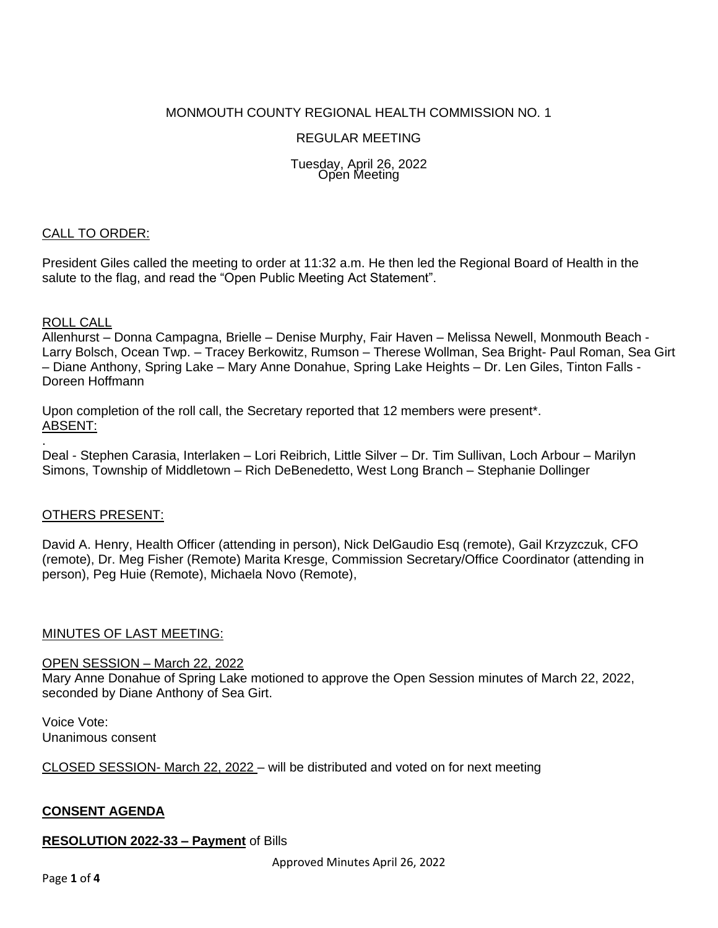# MONMOUTH COUNTY REGIONAL HEALTH COMMISSION NO. 1

## REGULAR MEETING

#### Tuesday, April 26, 2022 Open Meeting

## CALL TO ORDER:

President Giles called the meeting to order at 11:32 a.m. He then led the Regional Board of Health in the salute to the flag, and read the "Open Public Meeting Act Statement".

#### ROLL CALL

.

Allenhurst – Donna Campagna, Brielle – Denise Murphy, Fair Haven – Melissa Newell, Monmouth Beach - Larry Bolsch, Ocean Twp. – Tracey Berkowitz, Rumson – Therese Wollman, Sea Bright- Paul Roman, Sea Girt – Diane Anthony, Spring Lake – Mary Anne Donahue, Spring Lake Heights – Dr. Len Giles, Tinton Falls - Doreen Hoffmann

Upon completion of the roll call, the Secretary reported that 12 members were present\*. ABSENT:

Deal - Stephen Carasia, Interlaken – Lori Reibrich, Little Silver – Dr. Tim Sullivan, Loch Arbour – Marilyn Simons, Township of Middletown – Rich DeBenedetto, West Long Branch – Stephanie Dollinger

#### OTHERS PRESENT:

David A. Henry, Health Officer (attending in person), Nick DelGaudio Esq (remote), Gail Krzyzczuk, CFO (remote), Dr. Meg Fisher (Remote) Marita Kresge, Commission Secretary/Office Coordinator (attending in person), Peg Huie (Remote), Michaela Novo (Remote),

#### MINUTES OF LAST MEETING:

#### OPEN SESSION – March 22, 2022

Mary Anne Donahue of Spring Lake motioned to approve the Open Session minutes of March 22, 2022, seconded by Diane Anthony of Sea Girt.

Voice Vote: Unanimous consent

CLOSED SESSION- March 22, 2022 – will be distributed and voted on for next meeting

## **CONSENT AGENDA**

#### **RESOLUTION 2022-33 – Payment** of Bills

Approved Minutes April 26, 2022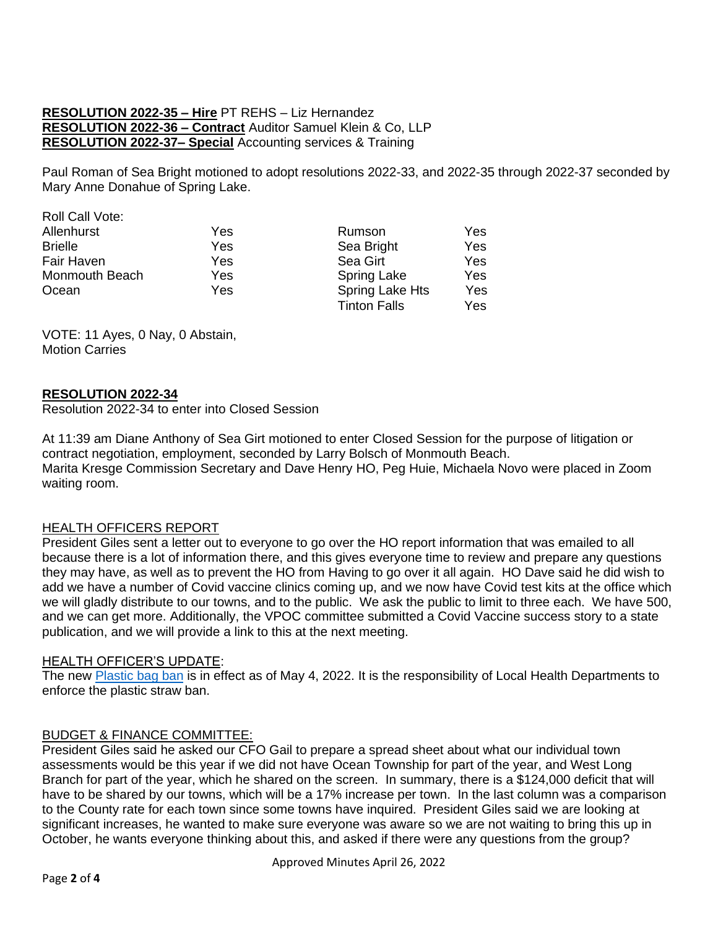# **RESOLUTION 2022-35 – Hire** PT REHS – Liz Hernandez **RESOLUTION 2022-36 – Contract** Auditor Samuel Klein & Co, LLP **RESOLUTION 2022-37– Special** Accounting services & Training

Paul Roman of Sea Bright motioned to adopt resolutions 2022-33, and 2022-35 through 2022-37 seconded by Mary Anne Donahue of Spring Lake.

| Roll Call Vote: |     |                     |     |
|-----------------|-----|---------------------|-----|
| Allenhurst      | Yes | Rumson              | Yes |
| <b>Brielle</b>  | Yes | Sea Bright          | Yes |
| Fair Haven      | Yes | Sea Girt            | Yes |
| Monmouth Beach  | Yes | <b>Spring Lake</b>  | Yes |
| Ocean           | Yes | Spring Lake Hts     | Yes |
|                 |     | <b>Tinton Falls</b> | Yes |

VOTE: 11 Ayes, 0 Nay, 0 Abstain, Motion Carries

## **RESOLUTION 2022-34**

Resolution 2022-34 to enter into Closed Session

At 11:39 am Diane Anthony of Sea Girt motioned to enter Closed Session for the purpose of litigation or contract negotiation, employment, seconded by Larry Bolsch of Monmouth Beach. Marita Kresge Commission Secretary and Dave Henry HO, Peg Huie, Michaela Novo were placed in Zoom waiting room.

## HEALTH OFFICERS REPORT

President Giles sent a letter out to everyone to go over the HO report information that was emailed to all because there is a lot of information there, and this gives everyone time to review and prepare any questions they may have, as well as to prevent the HO from Having to go over it all again. HO Dave said he did wish to add we have a number of Covid vaccine clinics coming up, and we now have Covid test kits at the office which we will gladly distribute to our towns, and to the public. We ask the public to limit to three each. We have 500, and we can get more. Additionally, the VPOC committee submitted a Covid Vaccine success story to a state publication, and we will provide a link to this at the next meeting.

#### HEALTH OFFICER'S UPDATE:

The new [Plastic bag ban](https://www.nj.gov/dep/get-past-plastic/) is in effect as of May 4, 2022. It is the responsibility of Local Health Departments to enforce the plastic straw ban.

#### BUDGET & FINANCE COMMITTEE:

President Giles said he asked our CFO Gail to prepare a spread sheet about what our individual town assessments would be this year if we did not have Ocean Township for part of the year, and West Long Branch for part of the year, which he shared on the screen. In summary, there is a \$124,000 deficit that will have to be shared by our towns, which will be a 17% increase per town. In the last column was a comparison to the County rate for each town since some towns have inquired. President Giles said we are looking at significant increases, he wanted to make sure everyone was aware so we are not waiting to bring this up in October, he wants everyone thinking about this, and asked if there were any questions from the group?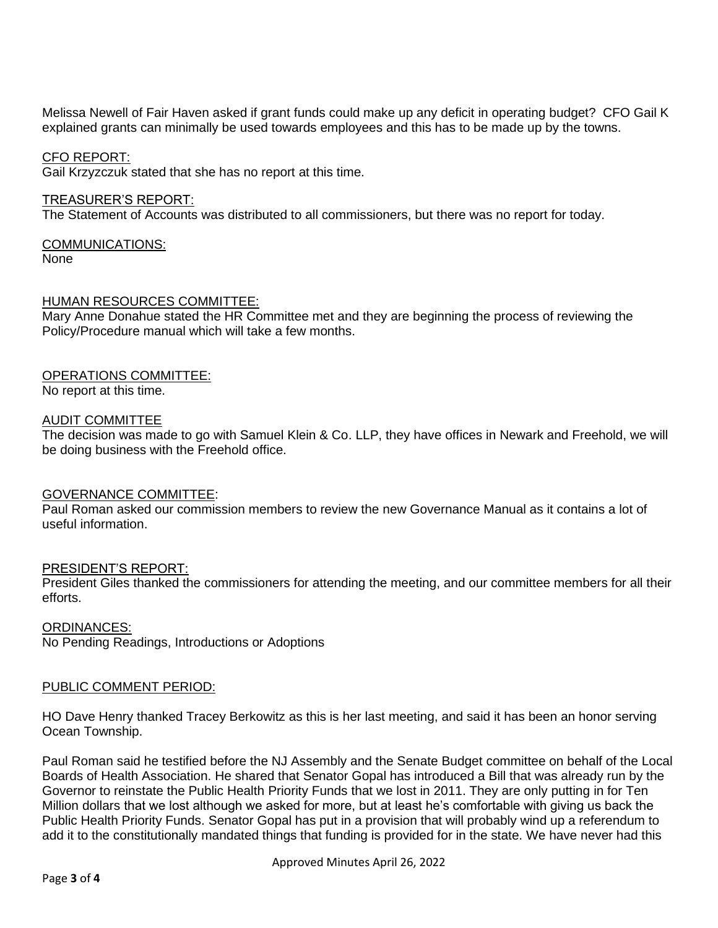Melissa Newell of Fair Haven asked if grant funds could make up any deficit in operating budget? CFO Gail K explained grants can minimally be used towards employees and this has to be made up by the towns.

#### CFO REPORT:

Gail Krzyzczuk stated that she has no report at this time.

#### TREASURER'S REPORT:

The Statement of Accounts was distributed to all commissioners, but there was no report for today.

# COMMUNICATIONS:

None

## HUMAN RESOURCES COMMITTEE:

Mary Anne Donahue stated the HR Committee met and they are beginning the process of reviewing the Policy/Procedure manual which will take a few months.

## OPERATIONS COMMITTEE:

No report at this time.

#### AUDIT COMMITTEE

The decision was made to go with Samuel Klein & Co. LLP, they have offices in Newark and Freehold, we will be doing business with the Freehold office.

#### GOVERNANCE COMMITTEE:

Paul Roman asked our commission members to review the new Governance Manual as it contains a lot of useful information.

#### PRESIDENT'S REPORT:

President Giles thanked the commissioners for attending the meeting, and our committee members for all their efforts.

ORDINANCES: No Pending Readings, Introductions or Adoptions

#### PUBLIC COMMENT PERIOD:

HO Dave Henry thanked Tracey Berkowitz as this is her last meeting, and said it has been an honor serving Ocean Township.

Paul Roman said he testified before the NJ Assembly and the Senate Budget committee on behalf of the Local Boards of Health Association. He shared that Senator Gopal has introduced a Bill that was already run by the Governor to reinstate the Public Health Priority Funds that we lost in 2011. They are only putting in for Ten Million dollars that we lost although we asked for more, but at least he's comfortable with giving us back the Public Health Priority Funds. Senator Gopal has put in a provision that will probably wind up a referendum to add it to the constitutionally mandated things that funding is provided for in the state. We have never had this